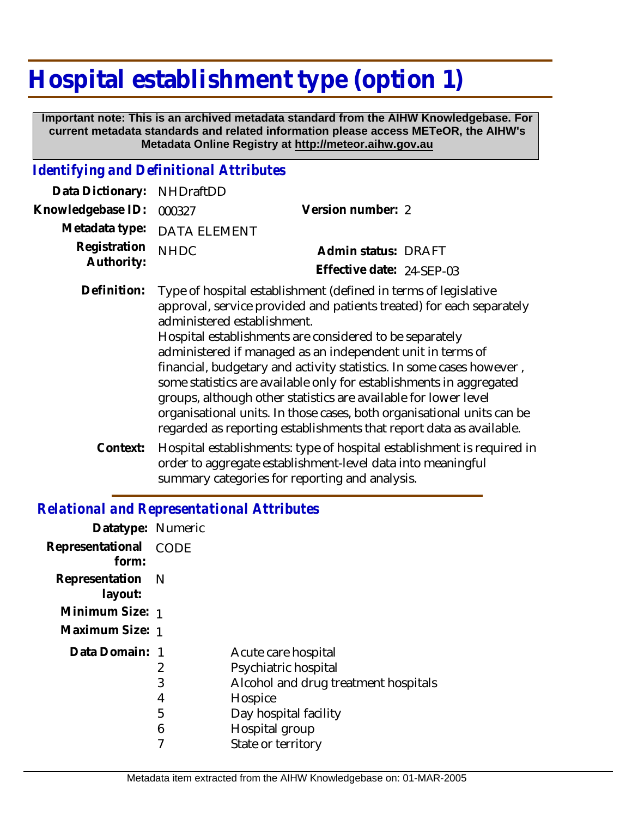# **Hospital establishment type (option 1)**

 **Important note: This is an archived metadata standard from the AIHW Knowledgebase. For current metadata standards and related information please access METeOR, the AIHW's Metadata Online Registry at http://meteor.aihw.gov.au**

#### *Identifying and Definitional Attributes*

| Data Dictionary: NHDraftDD      |                                                                             |                           |  |
|---------------------------------|-----------------------------------------------------------------------------|---------------------------|--|
| Knowledgebase ID: 000327        |                                                                             | Version number: 2         |  |
|                                 | Metadata type: DATA ELEMENT                                                 |                           |  |
| Registration NHDC<br>Authority: |                                                                             | Admin status: DRAFT       |  |
|                                 |                                                                             | Effective date: 24-SEP-03 |  |
|                                 | Definition: Type of hospital establishment (defined in terms of legislative |                           |  |

- approval, service provided and patients treated) for each separately administered establishment. Hospital establishments are considered to be separately administered if managed as an independent unit in terms of financial, budgetary and activity statistics. In some cases however , some statistics are available only for establishments in aggregated groups, although other statistics are available for lower level organisational units. In those cases, both organisational units can be regarded as reporting establishments that report data as available.
- Hospital establishments: type of hospital establishment is required in order to aggregate establishment-level data into meaningful summary categories for reporting and analysis. **Context:**

### *Relational and Representational Attributes*

| Datatype: Numeric           |                  |                                                                                                                                                                 |
|-----------------------------|------------------|-----------------------------------------------------------------------------------------------------------------------------------------------------------------|
| Representational<br>form:   | CODE             |                                                                                                                                                                 |
| Representation N<br>layout: |                  |                                                                                                                                                                 |
| Minimum Size: 1             |                  |                                                                                                                                                                 |
| Maximum Size: 1             |                  |                                                                                                                                                                 |
| Data Domain: 1              | 3<br>4<br>5<br>6 | Acute care hospital<br>Psychiatric hospital<br>Alcohol and drug treatment hospitals<br>Hospice<br>Day hospital facility<br>Hospital group<br>State or territory |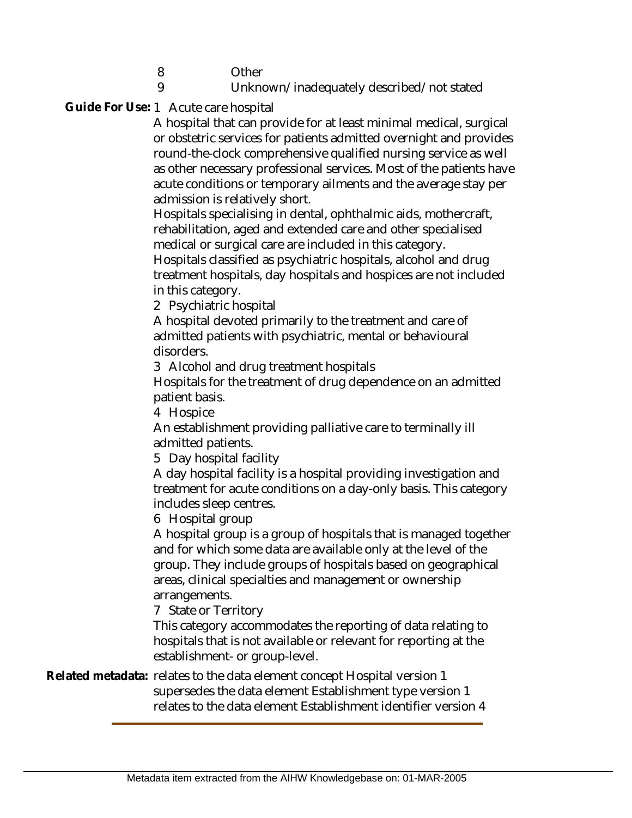8 **Other** 

#### Unknown/inadequately described/not stated

Guide For Use: 1 Acute care hospital

9

A hospital that can provide for at least minimal medical, surgical or obstetric services for patients admitted overnight and provides round-the-clock comprehensive qualified nursing service as well as other necessary professional services. Most of the patients have acute conditions or temporary ailments and the average stay per admission is relatively short.

Hospitals specialising in dental, ophthalmic aids, mothercraft, rehabilitation, aged and extended care and other specialised medical or surgical care are included in this category.

Hospitals classified as psychiatric hospitals, alcohol and drug treatment hospitals, day hospitals and hospices are not included in this category.

2 Psychiatric hospital

A hospital devoted primarily to the treatment and care of admitted patients with psychiatric, mental or behavioural disorders.

3 Alcohol and drug treatment hospitals

Hospitals for the treatment of drug dependence on an admitted patient basis.

4 Hospice

An establishment providing palliative care to terminally ill admitted patients.

5 Day hospital facility

A day hospital facility is a hospital providing investigation and treatment for acute conditions on a day-only basis. This category includes sleep centres.

6 Hospital group

A hospital group is a group of hospitals that is managed together and for which some data are available only at the level of the group. They include groups of hospitals based on geographical areas, clinical specialties and management or ownership arrangements.

7 State or Territory

This category accommodates the reporting of data relating to hospitals that is not available or relevant for reporting at the establishment- or group-level.

Related metadata: relates to the data element concept Hospital version 1 supersedes the data element Establishment type version 1 relates to the data element Establishment identifier version 4